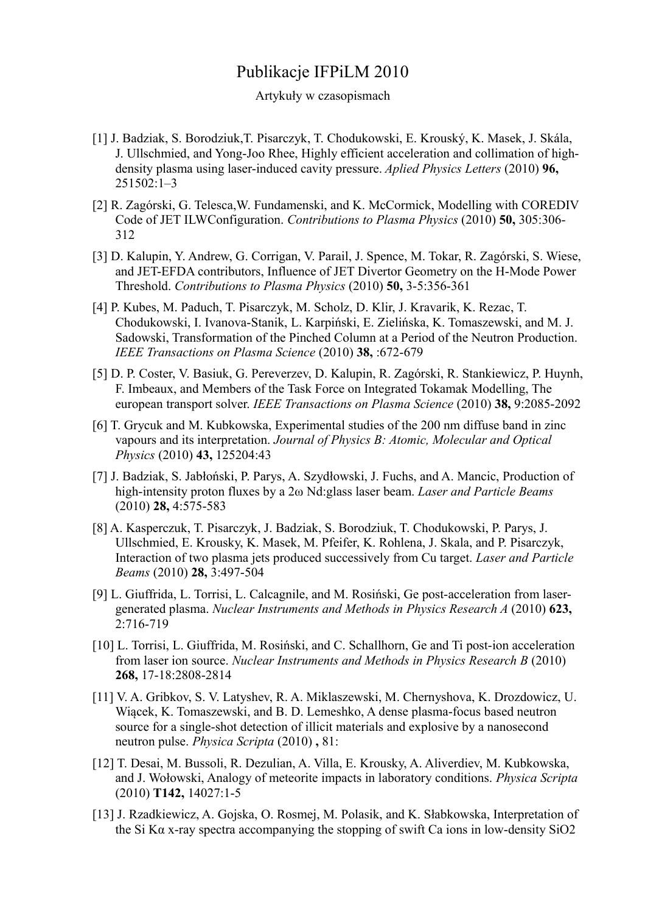## Publikacje IFPiLM 2010

## Artykuły w czasopismach

- [1] J. Badziak, S. Borodziuk,T. Pisarczyk, T. Chodukowski, E. Krouský, K. Masek, J. Skála, J. Ullschmied, and Yong-Joo Rhee, Highly efficient acceleration and collimation of highdensity plasma using laser-induced cavity pressure. *Aplied Physics Letters* (2010) **96,** 251502:1–3
- [2] R. Zagórski, G. Telesca,W. Fundamenski, and K. McCormick, Modelling with COREDIV Code of JET ILWConfiguration. *Contributions to Plasma Physics* (2010) **50,** 305:306- 312
- [3] D. Kalupin, Y. Andrew, G. Corrigan, V. Parail, J. Spence, M. Tokar, R. Zagórski, S. Wiese, and JET-EFDA contributors, Influence of JET Divertor Geometry on the H-Mode Power Threshold. *Contributions to Plasma Physics* (2010) **50,** 3-5:356-361
- [4] P. Kubes, M. Paduch, T. Pisarczyk, M. Scholz, D. Klir, J. Kravarik, K. Rezac, T. Chodukowski, I. Ivanova-Stanik, L. Karpiński, E. Zielińska, K. Tomaszewski, and M. J. Sadowski, Transformation of the Pinched Column at a Period of the Neutron Production. *IEEE Transactions on Plasma Science* (2010) **38,** :672-679
- [5] D. P. Coster, V. Basiuk, G. Pereverzev, D. Kalupin, R. Zagórski, R. Stankiewicz, P. Huynh, F. Imbeaux, and Members of the Task Force on Integrated Tokamak Modelling, The european transport solver. *IEEE Transactions on Plasma Science* (2010) **38,** 9:2085-2092
- [6] T. Grycuk and M. Kubkowska, Experimental studies of the 200 nm diffuse band in zinc vapours and its interpretation. *Journal of Physics B: Atomic, Molecular and Optical Physics* (2010) **43,** 125204:43
- [7] J. Badziak, S. Jabłoński, P. Parys, A. Szydłowski, J. Fuchs, and A. Mancic, Production of high-intensity proton fluxes by a 2ω Nd:glass laser beam. *Laser and Particle Beams* (2010) **28,** 4:575-583
- [8] A. Kasperczuk, T. Pisarczyk, J. Badziak, S. Borodziuk, T. Chodukowski, P. Parys, J. Ullschmied, E. Krousky, K. Masek, M. Pfeifer, K. Rohlena, J. Skala, and P. Pisarczyk, Interaction of two plasma jets produced successively from Cu target. *Laser and Particle Beams* (2010) **28,** 3:497-504
- [9] L. Giuffrida, L. Torrisi, L. Calcagnile, and M. Rosiński, Ge post-acceleration from lasergenerated plasma. *Nuclear Instruments and Methods in Physics Research A* (2010) **623,** 2:716-719
- [10] L. Torrisi, L. Giuffrida, M. Rosiński, and C. Schallhorn, Ge and Ti post-ion acceleration from laser ion source. *Nuclear Instruments and Methods in Physics Research B* (2010) **268,** 17-18:2808-2814
- [11] V. A. Gribkov, S. V. Latyshev, R. A. Miklaszewski, M. Chernyshova, K. Drozdowicz, U. Wiącek, K. Tomaszewski, and B. D. Lemeshko, A dense plasma-focus based neutron source for a single-shot detection of illicit materials and explosive by a nanosecond neutron pulse. *Physica Scripta* (2010) **,** 81:
- [12] T. Desai, M. Bussoli, R. Dezulian, A. Villa, E. Krousky, A. Aliverdiev, M. Kubkowska, and J. Wołowski, Analogy of meteorite impacts in laboratory conditions. *Physica Scripta* (2010) **T142,** 14027:1-5
- [13] J. Rzadkiewicz, A. Gojska, O. Rosmej, M. Polasik, and K. Słabkowska, Interpretation of the Si Kα x-ray spectra accompanying the stopping of swift Ca ions in low-density SiO2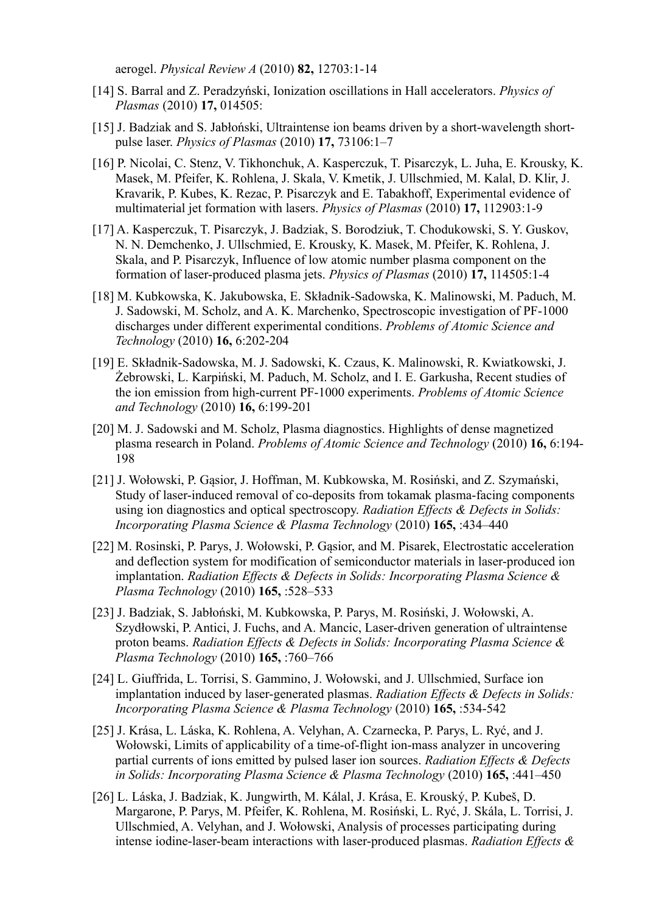aerogel. *Physical Review A* (2010) **82,** 12703:1-14

- [14] S. Barral and Z. Peradzyński, Ionization oscillations in Hall accelerators. *Physics of Plasmas* (2010) **17,** 014505:
- [15] J. Badziak and S. Jabłoński, Ultraintense ion beams driven by a short-wavelength shortpulse laser. *Physics of Plasmas* (2010) **17,** 73106:1–7
- [16] P. Nicolai, C. Stenz, V. Tikhonchuk, A. Kasperczuk, T. Pisarczyk, L. Juha, E. Krousky, K. Masek, M. Pfeifer, K. Rohlena, J. Skala, V. Kmetik, J. Ullschmied, M. Kalal, D. Klir, J. Kravarik, P. Kubes, K. Rezac, P. Pisarczyk and E. Tabakhoff, Experimental evidence of multimaterial jet formation with lasers. *Physics of Plasmas* (2010) **17,** 112903:1-9
- [17] A. Kasperczuk, T. Pisarczyk, J. Badziak, S. Borodziuk, T. Chodukowski, S. Y. Guskov, N. N. Demchenko, J. Ullschmied, E. Krousky, K. Masek, M. Pfeifer, K. Rohlena, J. Skala, and P. Pisarczyk, Influence of low atomic number plasma component on the formation of laser-produced plasma jets. *Physics of Plasmas* (2010) **17,** 114505:1-4
- [18] M. Kubkowska, K. Jakubowska, E. Składnik-Sadowska, K. Malinowski, M. Paduch, M. J. Sadowski, M. Scholz, and A. K. Marchenko, Spectroscopic investigation of PF-1000 discharges under different experimental conditions. *Problems of Atomic Science and Technology* (2010) **16,** 6:202-204
- [19] E. Składnik-Sadowska, M. J. Sadowski, K. Czaus, K. Malinowski, R. Kwiatkowski, J. Żebrowski, L. Karpiński, M. Paduch, M. Scholz, and I. E. Garkusha, Recent studies of the ion emission from high-current PF-1000 experiments. *Problems of Atomic Science and Technology* (2010) **16,** 6:199-201
- [20] M. J. Sadowski and M. Scholz, Plasma diagnostics. Highlights of dense magnetized plasma research in Poland. *Problems of Atomic Science and Technology* (2010) **16,** 6:194- 198
- [21] J. Wołowski, P. Gąsior, J. Hoffman, M. Kubkowska, M. Rosiński, and Z. Szymański, Study of laser-induced removal of co-deposits from tokamak plasma-facing components using ion diagnostics and optical spectroscopy. *Radiation Effects & Defects in Solids: Incorporating Plasma Science & Plasma Technology* (2010) **165,** :434–440
- [22] M. Rosinski, P. Parys, J. Wołowski, P. Gąsior, and M. Pisarek, Electrostatic acceleration and deflection system for modification of semiconductor materials in laser-produced ion implantation. *Radiation Effects & Defects in Solids: Incorporating Plasma Science & Plasma Technology* (2010) **165,** :528–533
- [23] J. Badziak, S. Jabłoński, M. Kubkowska, P. Parys, M. Rosiński, J. Wołowski, A. Szydłowski, P. Antici, J. Fuchs, and A. Mancic, Laser-driven generation of ultraintense proton beams. *Radiation Effects & Defects in Solids: Incorporating Plasma Science & Plasma Technology* (2010) **165,** :760–766
- [24] L. Giuffrida, L. Torrisi, S. Gammino, J. Wołowski, and J. Ullschmied, Surface ion implantation induced by laser-generated plasmas. *Radiation Effects & Defects in Solids: Incorporating Plasma Science & Plasma Technology* (2010) **165,** :534-542
- [25] J. Krása, L. Láska, K. Rohlena, A. Velyhan, A. Czarnecka, P. Parys, L. Ryć, and J. Wołowski, Limits of applicability of a time-of-flight ion-mass analyzer in uncovering partial currents of ions emitted by pulsed laser ion sources. *Radiation Effects & Defects in Solids: Incorporating Plasma Science & Plasma Technology* (2010) **165,** :441–450
- [26] L. Láska, J. Badziak, K. Jungwirth, M. Kálal, J. Krása, E. Krouský, P. Kubeš, D. Margarone, P. Parys, M. Pfeifer, K. Rohlena, M. Rosiński, L. Ryć, J. Skála, L. Torrisi, J. Ullschmied, A. Velyhan, and J. Wołowski, Analysis of processes participating during intense iodine-laser-beam interactions with laser-produced plasmas. *Radiation Effects &*